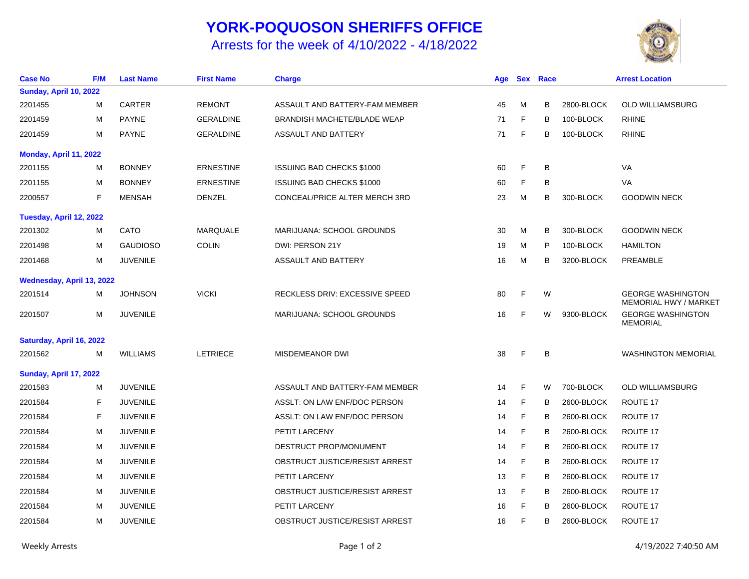## **YORK-POQUOSON SHERIFFS OFFICE**

## Arrests for the week of 4/10/2022 - 4/18/2022



| <b>Case No</b>                | <b>F/M</b> | <b>Last Name</b> | <b>First Name</b> | <b>Charge</b>                         | Age |              | <b>Sex Race</b> |            | <b>Arrest Location</b>                                   |
|-------------------------------|------------|------------------|-------------------|---------------------------------------|-----|--------------|-----------------|------------|----------------------------------------------------------|
| Sunday, April 10, 2022        |            |                  |                   |                                       |     |              |                 |            |                                                          |
| 2201455                       | M          | <b>CARTER</b>    | <b>REMONT</b>     | ASSAULT AND BATTERY-FAM MEMBER        | 45  | M            | B               | 2800-BLOCK | <b>OLD WILLIAMSBURG</b>                                  |
| 2201459                       | M          | <b>PAYNE</b>     | <b>GERALDINE</b>  | <b>BRANDISH MACHETE/BLADE WEAP</b>    | 71  | F            | в               | 100-BLOCK  | <b>RHINE</b>                                             |
| 2201459                       | M          | <b>PAYNE</b>     | <b>GERALDINE</b>  | ASSAULT AND BATTERY                   | 71  | F            | B               | 100-BLOCK  | <b>RHINE</b>                                             |
| Monday, April 11, 2022        |            |                  |                   |                                       |     |              |                 |            |                                                          |
| 2201155                       | м          | <b>BONNEY</b>    | <b>ERNESTINE</b>  | <b>ISSUING BAD CHECKS \$1000</b>      | 60  | $\mathsf{F}$ | B               |            | VA                                                       |
| 2201155                       | M          | <b>BONNEY</b>    | <b>ERNESTINE</b>  | <b>ISSUING BAD CHECKS \$1000</b>      | 60  | F            | B               |            | VA                                                       |
| 2200557                       | F          | <b>MENSAH</b>    | <b>DENZEL</b>     | CONCEAL/PRICE ALTER MERCH 3RD         | 23  | м            | В               | 300-BLOCK  | <b>GOODWIN NECK</b>                                      |
| Tuesday, April 12, 2022       |            |                  |                   |                                       |     |              |                 |            |                                                          |
| 2201302                       | M          | <b>CATO</b>      | <b>MARQUALE</b>   | MARIJUANA: SCHOOL GROUNDS             | 30  | м            | В               | 300-BLOCK  | <b>GOODWIN NECK</b>                                      |
| 2201498                       | M          | <b>GAUDIOSO</b>  | <b>COLIN</b>      | DWI: PERSON 21Y                       | 19  | M            | P               | 100-BLOCK  | <b>HAMILTON</b>                                          |
| 2201468                       | M          | <b>JUVENILE</b>  |                   | ASSAULT AND BATTERY                   | 16  | M            | в               | 3200-BLOCK | <b>PREAMBLE</b>                                          |
| Wednesday, April 13, 2022     |            |                  |                   |                                       |     |              |                 |            |                                                          |
| 2201514                       | М          | <b>JOHNSON</b>   | <b>VICKI</b>      | <b>RECKLESS DRIV: EXCESSIVE SPEED</b> | 80  | F            | W               |            | <b>GEORGE WASHINGTON</b><br><b>MEMORIAL HWY / MARKET</b> |
| 2201507                       | M          | <b>JUVENILE</b>  |                   | MARIJUANA: SCHOOL GROUNDS             | 16  | F            | W               | 9300-BLOCK | <b>GEORGE WASHINGTON</b><br><b>MEMORIAL</b>              |
| Saturday, April 16, 2022      |            |                  |                   |                                       |     |              |                 |            |                                                          |
| 2201562                       | M          | <b>WILLIAMS</b>  | <b>LETRIECE</b>   | MISDEMEANOR DWI                       | 38  | F            | B               |            | <b>WASHINGTON MEMORIAL</b>                               |
| <b>Sunday, April 17, 2022</b> |            |                  |                   |                                       |     |              |                 |            |                                                          |
| 2201583                       | M          | <b>JUVENILE</b>  |                   | ASSAULT AND BATTERY-FAM MEMBER        | 14  | F            | W               | 700-BLOCK  | <b>OLD WILLIAMSBURG</b>                                  |
| 2201584                       | F          | <b>JUVENILE</b>  |                   | ASSLT: ON LAW ENF/DOC PERSON          | 14  | F            | В               | 2600-BLOCK | ROUTE 17                                                 |
| 2201584                       | F          | <b>JUVENILE</b>  |                   | ASSLT: ON LAW ENF/DOC PERSON          | 14  | F            | в               | 2600-BLOCK | ROUTE 17                                                 |
| 2201584                       | M          | <b>JUVENILE</b>  |                   | PETIT LARCENY                         | 14  | F            | в               | 2600-BLOCK | ROUTE 17                                                 |
| 2201584                       | м          | <b>JUVENILE</b>  |                   | DESTRUCT PROP/MONUMENT                | 14  | F            | в               | 2600-BLOCK | ROUTE 17                                                 |
| 2201584                       | M          | <b>JUVENILE</b>  |                   | OBSTRUCT JUSTICE/RESIST ARREST        | 14  | F            | в               | 2600-BLOCK | ROUTE 17                                                 |
| 2201584                       | M          | <b>JUVENILE</b>  |                   | PETIT LARCENY                         | 13  | F            | В               | 2600-BLOCK | ROUTE 17                                                 |
| 2201584                       | м          | <b>JUVENILE</b>  |                   | OBSTRUCT JUSTICE/RESIST ARREST        | 13  | F            | в               | 2600-BLOCK | ROUTE 17                                                 |
| 2201584                       | M          | <b>JUVENILE</b>  |                   | PETIT LARCENY                         | 16  | F            | B               | 2600-BLOCK | ROUTE 17                                                 |
| 2201584                       | M          | <b>JUVENILE</b>  |                   | OBSTRUCT JUSTICE/RESIST ARREST        | 16  | F            | B               | 2600-BLOCK | ROUTE 17                                                 |